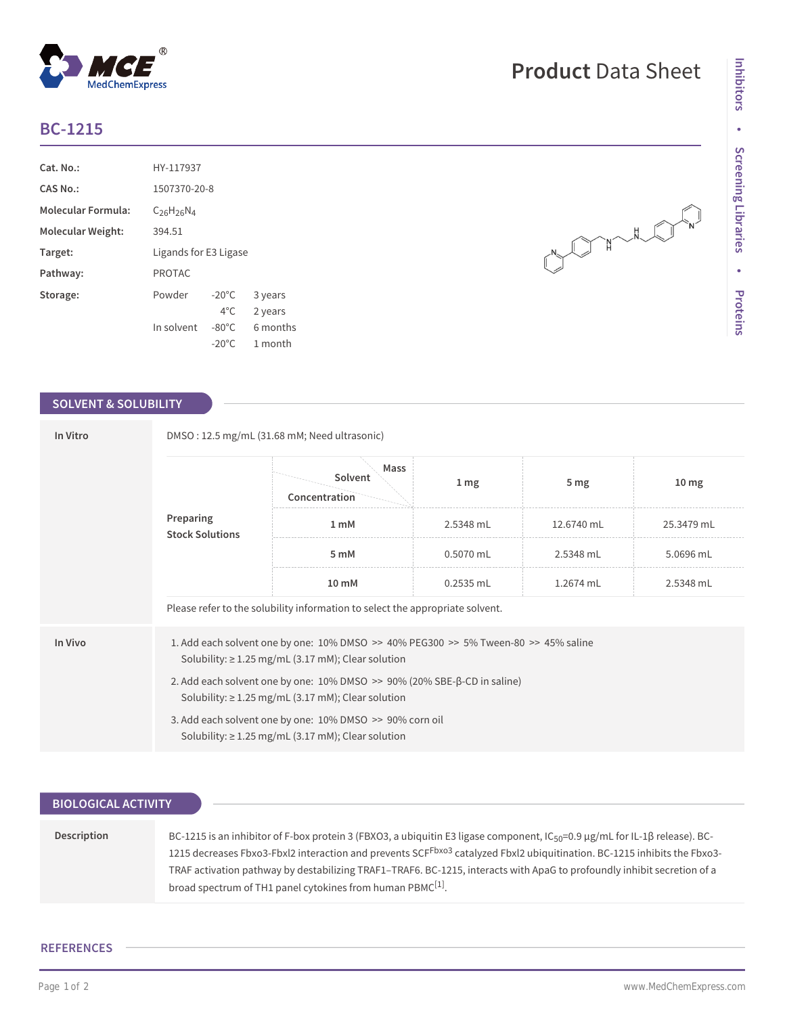# **BC-1215**

| Cat. No.:                 | HY-117937             |                 |          |  |  |
|---------------------------|-----------------------|-----------------|----------|--|--|
| CAS No.:                  | 1507370-20-8          |                 |          |  |  |
| <b>Molecular Formula:</b> | $C_{26}H_{26}N_4$     |                 |          |  |  |
| Molecular Weight:         | 394.51                |                 |          |  |  |
| Target:                   | Ligands for E3 Ligase |                 |          |  |  |
| Pathway:                  | <b>PROTAC</b>         |                 |          |  |  |
| Storage:                  | Powder                | $-20^{\circ}$ C | 3 years  |  |  |
|                           |                       | $4^{\circ}$ C.  | 2 years  |  |  |
|                           | In solvent            | $-80^{\circ}$ C | 6 months |  |  |
|                           |                       | $-20^{\circ}$ C | 1 month  |  |  |

# **SOLVENT & SOLUBILITY**

| In Vitro | DMSO: 12.5 mg/mL (31.68 mM; Need ultrasonic)                                                                                                                  |                                  |                  |                 |                  |  |  |
|----------|---------------------------------------------------------------------------------------------------------------------------------------------------------------|----------------------------------|------------------|-----------------|------------------|--|--|
|          | Preparing<br><b>Stock Solutions</b>                                                                                                                           | Mass<br>Solvent<br>Concentration | $1 \, \text{mg}$ | 5 <sub>mg</sub> | 10 <sub>mg</sub> |  |  |
|          |                                                                                                                                                               | 1 <sub>mM</sub>                  | 2.5348 mL        | 12.6740 mL      | 25.3479 mL       |  |  |
|          |                                                                                                                                                               | 5 mM                             | $0.5070$ mL      | 2.5348 mL       | 5.0696 mL        |  |  |
|          |                                                                                                                                                               | 10 mM                            | 0.2535 mL        | 1.2674 mL       | 2.5348 mL        |  |  |
|          | Please refer to the solubility information to select the appropriate solvent.                                                                                 |                                  |                  |                 |                  |  |  |
| In Vivo  | 1. Add each solvent one by one: $10\%$ DMSO $\geq$ 40% PEG300 $\geq$ 5% Tween-80 $\geq$ 45% saline<br>Solubility: $\geq$ 1.25 mg/mL (3.17 mM); Clear solution |                                  |                  |                 |                  |  |  |
|          | 2. Add each solvent one by one: $10\%$ DMSO $\geq$ 90% (20% SBE- $\beta$ -CD in saline)<br>Solubility: $\geq$ 1.25 mg/mL (3.17 mM); Clear solution            |                                  |                  |                 |                  |  |  |
|          | 3. Add each solvent one by one: 10% DMSO >> 90% corn oil<br>Solubility: $\geq$ 1.25 mg/mL (3.17 mM); Clear solution                                           |                                  |                  |                 |                  |  |  |

| <b>BIOLOGICAL ACTIVITY</b> |                                                                                                                                                                                                                                                                                                                                                                                                                                                                                     |
|----------------------------|-------------------------------------------------------------------------------------------------------------------------------------------------------------------------------------------------------------------------------------------------------------------------------------------------------------------------------------------------------------------------------------------------------------------------------------------------------------------------------------|
|                            |                                                                                                                                                                                                                                                                                                                                                                                                                                                                                     |
| Description                | BC-1215 is an inhibitor of F-box protein 3 (FBXO3, a ubiquitin E3 ligase component, $C_{50}$ =0.9 µg/mL for IL-1 $\beta$ release). BC-<br>1215 decreases Fbxo3-Fbxl2 interaction and prevents SCF <sup>Fbxo3</sup> catalyzed Fbxl2 ubiquitination. BC-1215 inhibits the Fbxo3-<br>TRAF activation pathway by destabilizing TRAF1-TRAF6. BC-1215, interacts with ApaG to profoundly inhibit secretion of a<br>broad spectrum of TH1 panel cytokines from human PBMC <sup>[1]</sup> . |

## **REFERENCES**

## Page 1 of 2 www.MedChemExpress.com

March 2019